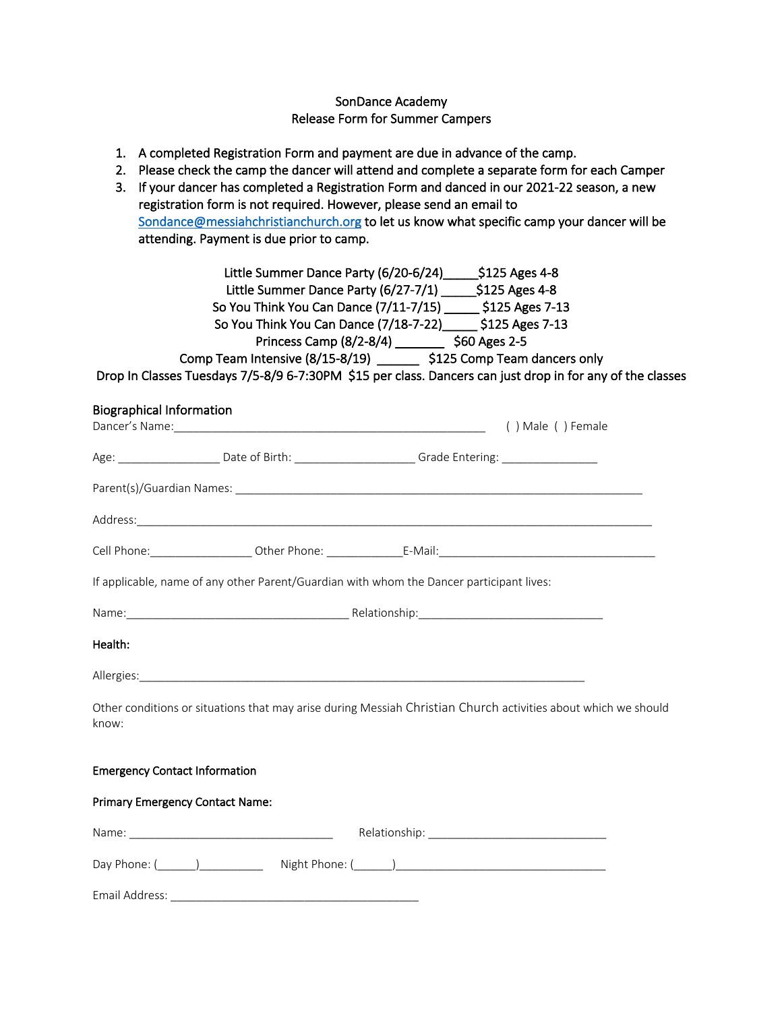# SonDance Academy Release Form for Summer Campers

- 1. A completed Registration Form and payment are due in advance of the camp.
- 2. Please check the camp the dancer will attend and complete a separate form for each Camper
- 3. If your dancer has completed a Registration Form and danced in our 2021-22 season, a new registration form is not required. However, please send an email to Sondance@messiahchristianchurch.org to let us know what specific camp your dancer will be attending. Payment is due prior to camp.

| Little Summer Dance Party (6/20-6/24)<br>$$125$ Ages 4-8                                                  |  |
|-----------------------------------------------------------------------------------------------------------|--|
| \$125 Ages 4-8<br>Little Summer Dance Party (6/27-7/1)                                                    |  |
| \$125 Ages 7-13<br>So You Think You Can Dance (7/11-7/15)                                                 |  |
| \$125 Ages 7-13<br>So You Think You Can Dance (7/18-7-22)                                                 |  |
| Princess Camp (8/2-8/4)<br>\$60 Ages 2-5                                                                  |  |
| Comp Team Intensive (8/15-8/19)<br>\$125 Comp Team dancers only                                           |  |
| Drop In Classes Tuesdays 7/5-8/9 6-7:30PM \$15 per class. Dancers can just drop in for any of the classes |  |

| <b>Biographical Information</b>                                                                                         |  |                                                                                                                |                   |  |  |
|-------------------------------------------------------------------------------------------------------------------------|--|----------------------------------------------------------------------------------------------------------------|-------------------|--|--|
|                                                                                                                         |  |                                                                                                                | () Male () Female |  |  |
|                                                                                                                         |  | Age: _________________________Date of Birth: ___________________________Grade Entering: ______________________ |                   |  |  |
|                                                                                                                         |  |                                                                                                                |                   |  |  |
|                                                                                                                         |  |                                                                                                                |                   |  |  |
|                                                                                                                         |  |                                                                                                                |                   |  |  |
| If applicable, name of any other Parent/Guardian with whom the Dancer participant lives:                                |  |                                                                                                                |                   |  |  |
|                                                                                                                         |  |                                                                                                                |                   |  |  |
| Health:                                                                                                                 |  |                                                                                                                |                   |  |  |
|                                                                                                                         |  |                                                                                                                |                   |  |  |
| Other conditions or situations that may arise during Messiah Christian Church activities about which we should<br>know: |  |                                                                                                                |                   |  |  |
| <b>Emergency Contact Information</b>                                                                                    |  |                                                                                                                |                   |  |  |
| <b>Primary Emergency Contact Name:</b>                                                                                  |  |                                                                                                                |                   |  |  |
|                                                                                                                         |  |                                                                                                                |                   |  |  |
|                                                                                                                         |  |                                                                                                                |                   |  |  |

Email Address: \_\_\_\_\_\_\_\_\_\_\_\_\_\_\_\_\_\_\_\_\_\_\_\_\_\_\_\_\_\_\_\_\_\_\_\_\_\_\_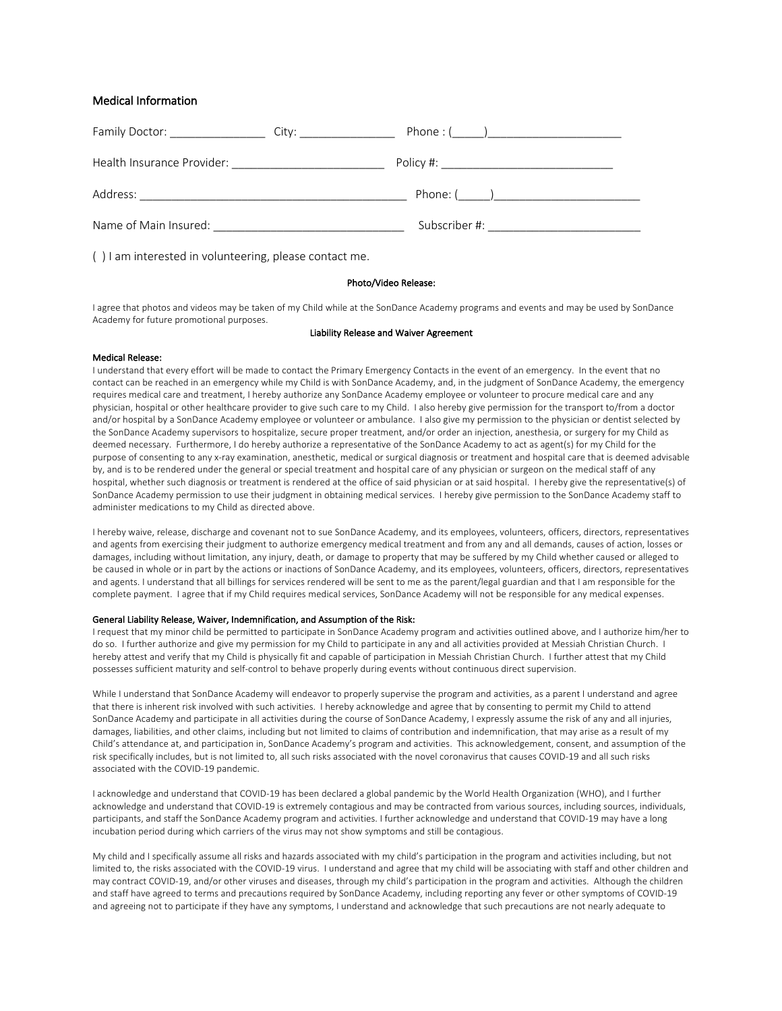## Medical Information

| Family Doctor: _______________                       | Phone : $(\_\_\_\_)$<br>City: the contract of the contract of the contract of the contract of the contract of the contract of the contract of the contract of the contract of the contract of the contract of the contract of the contract of the cont |
|------------------------------------------------------|--------------------------------------------------------------------------------------------------------------------------------------------------------------------------------------------------------------------------------------------------------|
| Health Insurance Provider: _________________________ | Policy #: _________________________________                                                                                                                                                                                                            |
| Address:                                             | Phone: ()                                                                                                                                                                                                                                              |
| Name of Main Insured:                                | Subscriber #:                                                                                                                                                                                                                                          |

( ) I am interested in volunteering, please contact me.

## Photo/Video Release:

I agree that photos and videos may be taken of my Child while at the SonDance Academy programs and events and may be used by SonDance Academy for future promotional purposes.

#### Liability Release and Waiver Agreement

## Medical Release:

I understand that every effort will be made to contact the Primary Emergency Contacts in the event of an emergency. In the event that no contact can be reached in an emergency while my Child is with SonDance Academy, and, in the judgment of SonDance Academy, the emergency requires medical care and treatment, I hereby authorize any SonDance Academy employee or volunteer to procure medical care and any physician, hospital or other healthcare provider to give such care to my Child. I also hereby give permission for the transport to/from a doctor and/or hospital by a SonDance Academy employee or volunteer or ambulance. I also give my permission to the physician or dentist selected by the SonDance Academy supervisors to hospitalize, secure proper treatment, and/or order an injection, anesthesia, or surgery for my Child as deemed necessary. Furthermore, I do hereby authorize a representative of the SonDance Academy to act as agent(s) for my Child for the purpose of consenting to any x-ray examination, anesthetic, medical or surgical diagnosis or treatment and hospital care that is deemed advisable by, and is to be rendered under the general or special treatment and hospital care of any physician or surgeon on the medical staff of any hospital, whether such diagnosis or treatment is rendered at the office of said physician or at said hospital. I hereby give the representative(s) of SonDance Academy permission to use their judgment in obtaining medical services. I hereby give permission to the SonDance Academy staff to administer medications to my Child as directed above.

I hereby waive, release, discharge and covenant not to sue SonDance Academy, and its employees, volunteers, officers, directors, representatives and agents from exercising their judgment to authorize emergency medical treatment and from any and all demands, causes of action, losses or damages, including without limitation, any injury, death, or damage to property that may be suffered by my Child whether caused or alleged to be caused in whole or in part by the actions or inactions of SonDance Academy, and its employees, volunteers, officers, directors, representatives and agents. I understand that all billings for services rendered will be sent to me as the parent/legal guardian and that I am responsible for the complete payment. I agree that if my Child requires medical services, SonDance Academy will not be responsible for any medical expenses.

### General Liability Release, Waiver, Indemnification, and Assumption of the Risk:

I request that my minor child be permitted to participate in SonDance Academy program and activities outlined above, and I authorize him/her to do so. I further authorize and give my permission for my Child to participate in any and all activities provided at Messiah Christian Church. I hereby attest and verify that my Child is physically fit and capable of participation in Messiah Christian Church. I further attest that my Child possesses sufficient maturity and self-control to behave properly during events without continuous direct supervision.

While I understand that SonDance Academy will endeavor to properly supervise the program and activities, as a parent I understand and agree that there is inherent risk involved with such activities. I hereby acknowledge and agree that by consenting to permit my Child to attend SonDance Academy and participate in all activities during the course of SonDance Academy, I expressly assume the risk of any and all injuries, damages, liabilities, and other claims, including but not limited to claims of contribution and indemnification, that may arise as a result of my Child's attendance at, and participation in, SonDance Academy's program and activities. This acknowledgement, consent, and assumption of the risk specifically includes, but is not limited to, all such risks associated with the novel coronavirus that causes COVID-19 and all such risks associated with the COVID-19 pandemic.

I acknowledge and understand that COVID-19 has been declared a global pandemic by the World Health Organization (WHO), and I further acknowledge and understand that COVID-19 is extremely contagious and may be contracted from various sources, including sources, individuals, participants, and staff the SonDance Academy program and activities. I further acknowledge and understand that COVID-19 may have a long incubation period during which carriers of the virus may not show symptoms and still be contagious.

My child and I specifically assume all risks and hazards associated with my child's participation in the program and activities including, but not limited to, the risks associated with the COVID-19 virus. I understand and agree that my child will be associating with staff and other children and may contract COVID-19, and/or other viruses and diseases, through my child's participation in the program and activities. Although the children and staff have agreed to terms and precautions required by SonDance Academy, including reporting any fever or other symptoms of COVID-19 and agreeing not to participate if they have any symptoms, I understand and acknowledge that such precautions are not nearly adequate to